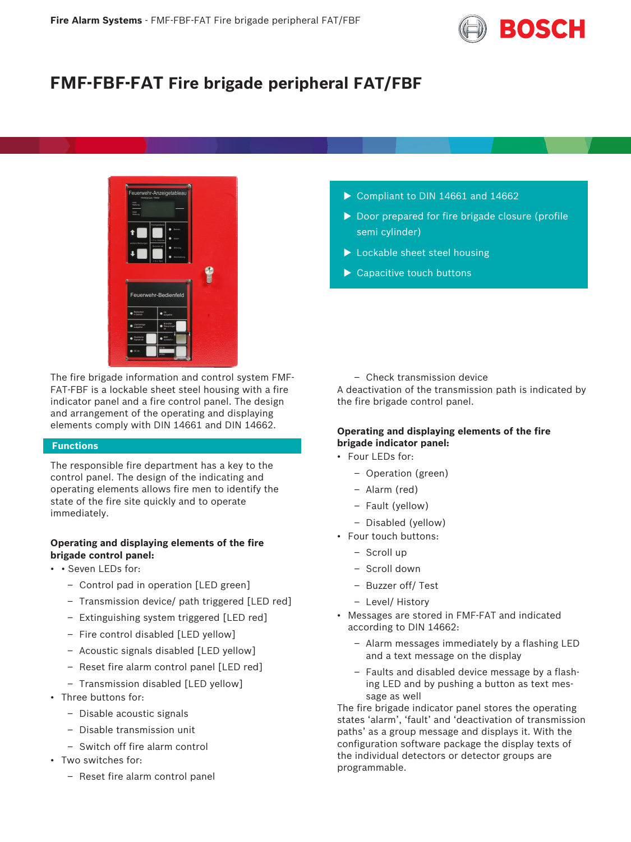

# **FMF-FBF-FAT Fire brigade peripheral FAT/FBF**



The fire brigade information and control system FMF-FAT-FBF is a lockable sheet steel housing with a fire indicator panel and a fire control panel. The design and arrangement of the operating and displaying elements comply with DIN 14661 and DIN 14662.

# **Functions**

The responsible fire department has a key to the control panel. The design of the indicating and operating elements allows fire men to identify the state of the fire site quickly and to operate immediately.

# **Operating and displaying elements of the fire brigade control panel:**

- • Seven LEDs for:
	- Control pad in operation [LED green]
	- Transmission device/ path triggered [LED red]
	- Extinguishing system triggered [LED red]
	- Fire control disabled [LED yellow]
	- Acoustic signals disabled [LED yellow]
	- Reset fire alarm control panel [LED red]
	- Transmission disabled [LED yellow]
- Three buttons for:
	- Disable acoustic signals
	- Disable transmission unit
	- Switch off fire alarm control
- Two switches for:
	- Reset fire alarm control panel
- $\triangleright$  Compliant to DIN 14661 and 14662
- $\triangleright$  Door prepared for fire brigade closure (profile semi cylinder)
- $\blacktriangleright$  Lockable sheet steel housing
- $\blacktriangleright$  Capacitive touch buttons

– Check transmission device

A deactivation of the transmission path is indicated by the fire brigade control panel.

# **Operating and displaying elements of the fire brigade indicator panel:**

- Four LEDs for:
	- Operation (green)
	- Alarm (red)
	- Fault (yellow)
	- Disabled (yellow)
- Four touch buttons:
	- Scroll up
	- Scroll down
	- Buzzer off/ Test
	- Level/ History
- Messages are stored in FMF-FAT and indicated according to DIN 14662:
	- Alarm messages immediately by a flashing LED and a text message on the display
	- Faults and disabled device message by a flashing LED and by pushing a button as text message as well

The fire brigade indicator panel stores the operating states 'alarm', 'fault' and 'deactivation of transmission paths' as a group message and displays it. With the configuration software package the display texts of the individual detectors or detector groups are programmable.